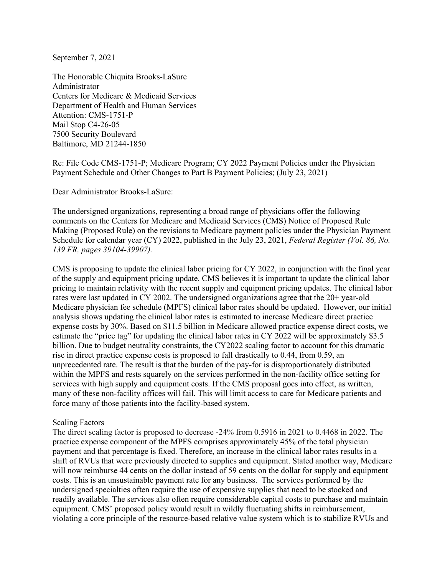September 7, 2021

The Honorable Chiquita Brooks-LaSure Administrator Centers for Medicare & Medicaid Services Department of Health and Human Services Attention: CMS-1751-P Mail Stop C4-26-05 7500 Security Boulevard Baltimore, MD 21244-1850

Re: File Code CMS-1751-P; Medicare Program; CY 2022 Payment Policies under the Physician Payment Schedule and Other Changes to Part B Payment Policies; (July 23, 2021)

Dear Administrator Brooks-LaSure:

The undersigned organizations, representing a broad range of physicians offer the following comments on the Centers for Medicare and Medicaid Services (CMS) Notice of Proposed Rule Making (Proposed Rule) on the revisions to Medicare payment policies under the Physician Payment Schedule for calendar year (CY) 2022, published in the July 23, 2021, *Federal Register (Vol. 86, No. 139 FR, pages 39104-39907).*

CMS is proposing to update the clinical labor pricing for CY 2022, in conjunction with the final year of the supply and equipment pricing update. CMS believes it is important to update the clinical labor pricing to maintain relativity with the recent supply and equipment pricing updates. The clinical labor rates were last updated in CY 2002. The undersigned organizations agree that the 20+ year-old Medicare physician fee schedule (MPFS) clinical labor rates should be updated. However, our initial analysis shows updating the clinical labor rates is estimated to increase Medicare direct practice expense costs by 30%. Based on \$11.5 billion in Medicare allowed practice expense direct costs, we estimate the "price tag" for updating the clinical labor rates in CY 2022 will be approximately \$3.5 billion. Due to budget neutrality constraints, the CY2022 scaling factor to account for this dramatic rise in direct practice expense costs is proposed to fall drastically to 0.44, from 0.59, an unprecedented rate. The result is that the burden of the pay-for is disproportionately distributed within the MPFS and rests squarely on the services performed in the non-facility office setting for services with high supply and equipment costs. If the CMS proposal goes into effect, as written, many of these non-facility offices will fail. This will limit access to care for Medicare patients and force many of those patients into the facility-based system.

#### Scaling Factors

The direct scaling factor is proposed to decrease -24% from 0.5916 in 2021 to 0.4468 in 2022. The practice expense component of the MPFS comprises approximately 45% of the total physician payment and that percentage is fixed. Therefore, an increase in the clinical labor rates results in a shift of RVUs that were previously directed to supplies and equipment. Stated another way, Medicare will now reimburse 44 cents on the dollar instead of 59 cents on the dollar for supply and equipment costs. This is an unsustainable payment rate for any business. The services performed by the undersigned specialties often require the use of expensive supplies that need to be stocked and readily available. The services also often require considerable capital costs to purchase and maintain equipment. CMS' proposed policy would result in wildly fluctuating shifts in reimbursement, violating a core principle of the resource-based relative value system which is to stabilize RVUs and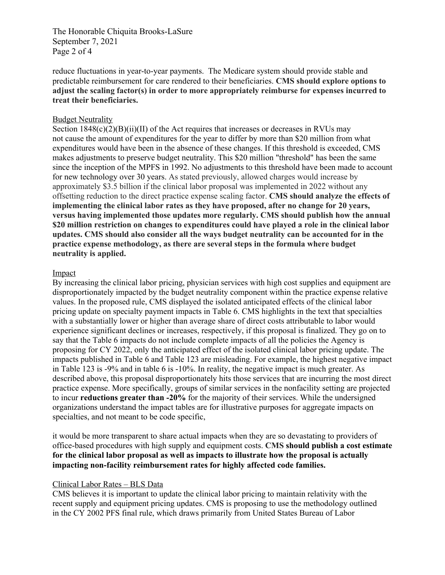The Honorable Chiquita Brooks-LaSure September 7, 2021 Page 2 of 4

reduce fluctuations in year-to-year payments. The Medicare system should provide stable and predictable reimbursement for care rendered to their beneficiaries. **CMS should explore options to adjust the scaling factor(s) in order to more appropriately reimburse for expenses incurred to treat their beneficiaries.** 

## Budget Neutrality

Section  $1848(c)(2)(B)(ii)(II)$  of the Act requires that increases or decreases in RVUs may not cause the amount of expenditures for the year to differ by more than \$20 million from what expenditures would have been in the absence of these changes. If this threshold is exceeded, CMS makes adjustments to preserve budget neutrality. This \$20 million "threshold" has been the same since the inception of the MPFS in 1992. No adjustments to this threshold have been made to account for new technology over 30 years. As stated previously, allowed charges would increase by approximately \$3.5 billion if the clinical labor proposal was implemented in 2022 without any offsetting reduction to the direct practice expense scaling factor. **CMS should analyze the effects of implementing the clinical labor rates as they have proposed, after no change for 20 years, versus having implemented those updates more regularly. CMS should publish how the annual \$20 million restriction on changes to expenditures could have played a role in the clinical labor updates. CMS should also consider all the ways budget neutrality can be accounted for in the practice expense methodology, as there are several steps in the formula where budget neutrality is applied.**

## Impact

By increasing the clinical labor pricing, physician services with high cost supplies and equipment are disproportionately impacted by the budget neutrality component within the practice expense relative values. In the proposed rule, CMS displayed the isolated anticipated effects of the clinical labor pricing update on specialty payment impacts in Table 6. CMS highlights in the text that specialties with a substantially lower or higher than average share of direct costs attributable to labor would experience significant declines or increases, respectively, if this proposal is finalized. They go on to say that the Table 6 impacts do not include complete impacts of all the policies the Agency is proposing for CY 2022, only the anticipated effect of the isolated clinical labor pricing update. The impacts published in Table 6 and Table 123 are misleading. For example, the highest negative impact in Table 123 is -9% and in table 6 is -10%. In reality, the negative impact is much greater. As described above, this proposal disproportionately hits those services that are incurring the most direct practice expense. More specifically, groups of similar services in the nonfacility setting are projected to incur **reductions greater than -20%** for the majority of their services. While the undersigned organizations understand the impact tables are for illustrative purposes for aggregate impacts on specialties, and not meant to be code specific,

it would be more transparent to share actual impacts when they are so devastating to providers of office-based procedures with high supply and equipment costs. **CMS should publish a cost estimate for the clinical labor proposal as well as impacts to illustrate how the proposal is actually impacting non-facility reimbursement rates for highly affected code families.** 

#### Clinical Labor Rates – BLS Data

CMS believes it is important to update the clinical labor pricing to maintain relativity with the recent supply and equipment pricing updates. CMS is proposing to use the methodology outlined in the CY 2002 PFS final rule, which draws primarily from United States Bureau of Labor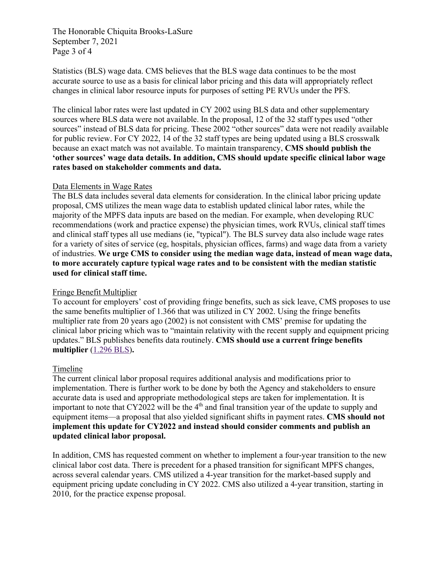The Honorable Chiquita Brooks-LaSure September 7, 2021 Page 3 of 4

Statistics (BLS) wage data. CMS believes that the BLS wage data continues to be the most accurate source to use as a basis for clinical labor pricing and this data will appropriately reflect changes in clinical labor resource inputs for purposes of setting PE RVUs under the PFS.

The clinical labor rates were last updated in CY 2002 using BLS data and other supplementary sources where BLS data were not available. In the proposal, 12 of the 32 staff types used "other sources" instead of BLS data for pricing. These 2002 "other sources" data were not readily available for public review. For CY 2022, 14 of the 32 staff types are being updated using a BLS crosswalk because an exact match was not available. To maintain transparency, **CMS should publish the 'other sources' wage data details. In addition, CMS should update specific clinical labor wage rates based on stakeholder comments and data.** 

## Data Elements in Wage Rates

The BLS data includes several data elements for consideration. In the clinical labor pricing update proposal, CMS utilizes the mean wage data to establish updated clinical labor rates, while the majority of the MPFS data inputs are based on the median. For example, when developing RUC recommendations (work and practice expense) the physician times, work RVUs, clinical staff times and clinical staff types all use medians (ie, "typical"). The BLS survey data also include wage rates for a variety of sites of service (eg, hospitals, physician offices, farms) and wage data from a variety of industries. **We urge CMS to consider using the median wage data, instead of mean wage data, to more accurately capture typical wage rates and to be consistent with the median statistic used for clinical staff time.** 

# Fringe Benefit Multiplier

To account for employers' cost of providing fringe benefits, such as sick leave, CMS proposes to use the same benefits multiplier of 1.366 that was utilized in CY 2002. Using the fringe benefits multiplier rate from 20 years ago (2002) is not consistent with CMS' premise for updating the clinical labor pricing which was to "maintain relativity with the recent supply and equipment pricing updates." BLS publishes benefits data routinely. **CMS should use a current fringe benefits multiplier** (1.296 BLS)**.**

# Timeline

The current clinical labor proposal requires additional analysis and modifications prior to implementation. There is further work to be done by both the Agency and stakeholders to ensure accurate data is used and appropriate methodological steps are taken for implementation. It is important to note that  $CY2022$  will be the 4<sup>th</sup> and final transition year of the update to supply and equipment items—a proposal that also yielded significant shifts in payment rates. **CMS should not implement this update for CY2022 and instead should consider comments and publish an updated clinical labor proposal.** 

In addition, CMS has requested comment on whether to implement a four-year transition to the new clinical labor cost data. There is precedent for a phased transition for significant MPFS changes, across several calendar years. CMS utilized a 4-year transition for the market-based supply and equipment pricing update concluding in CY 2022. CMS also utilized a 4-year transition, starting in 2010, for the practice expense proposal.